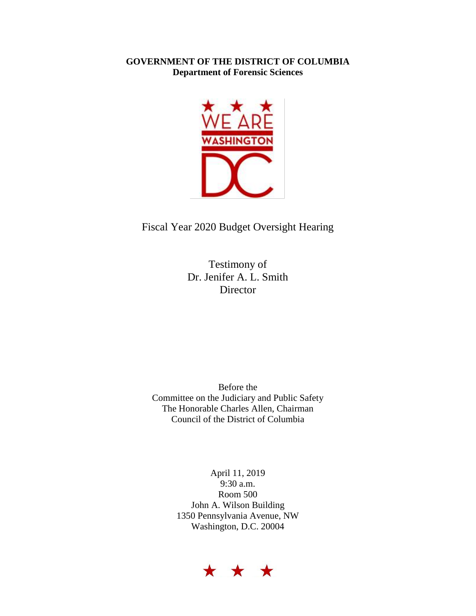## **GOVERNMENT OF THE DISTRICT OF COLUMBIA Department of Forensic Sciences**



## Fiscal Year 2020 Budget Oversight Hearing

Testimony of Dr. Jenifer A. L. Smith Director

Before the Committee on the Judiciary and Public Safety The Honorable Charles Allen, Chairman Council of the District of Columbia

> April 11, 2019 9:30 a.m. Room 500 John A. Wilson Building 1350 Pennsylvania Avenue, NW Washington, D.C. 20004

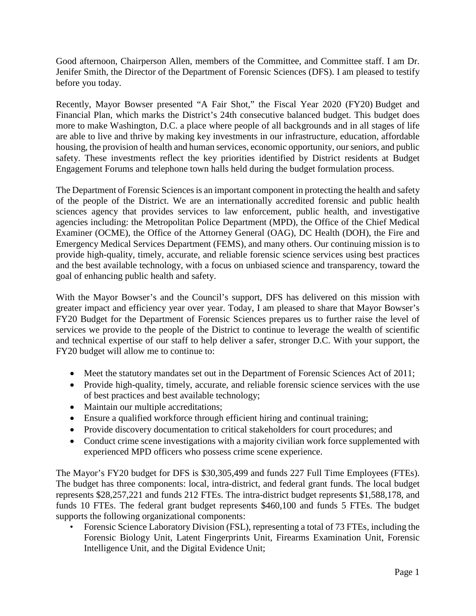Good afternoon, Chairperson Allen, members of the Committee, and Committee staff. I am Dr. Jenifer Smith, the Director of the Department of Forensic Sciences (DFS). I am pleased to testify before you today.

Recently, Mayor Bowser presented "A Fair Shot," the Fiscal Year 2020 (FY20) Budget and Financial Plan, which marks the District's 24th consecutive balanced budget. This budget does more to make Washington, D.C. a place where people of all backgrounds and in all stages of life are able to live and thrive by making key investments in our infrastructure, education, affordable housing, the provision of health and human services, economic opportunity, our seniors, and public safety. These investments reflect the key priorities identified by District residents at Budget Engagement Forums and telephone town halls held during the budget formulation process.

The Department of Forensic Sciences is an important component in protecting the health and safety of the people of the District. We are an internationally accredited forensic and public health sciences agency that provides services to law enforcement, public health, and investigative agencies including: the Metropolitan Police Department (MPD), the Office of the Chief Medical Examiner (OCME), the Office of the Attorney General (OAG), DC Health (DOH), the Fire and Emergency Medical Services Department (FEMS), and many others. Our continuing mission is to provide high-quality, timely, accurate, and reliable forensic science services using best practices and the best available technology, with a focus on unbiased science and transparency, toward the goal of enhancing public health and safety.

With the Mayor Bowser's and the Council's support, DFS has delivered on this mission with greater impact and efficiency year over year. Today, I am pleased to share that Mayor Bowser's FY20 Budget for the Department of Forensic Sciences prepares us to further raise the level of services we provide to the people of the District to continue to leverage the wealth of scientific and technical expertise of our staff to help deliver a safer, stronger D.C. With your support, the FY20 budget will allow me to continue to:

- Meet the statutory mandates set out in the Department of Forensic Sciences Act of 2011;
- Provide high-quality, timely, accurate, and reliable forensic science services with the use of best practices and best available technology;
- Maintain our multiple accreditations;
- Ensure a qualified workforce through efficient hiring and continual training;
- Provide discovery documentation to critical stakeholders for court procedures; and
- Conduct crime scene investigations with a majority civilian work force supplemented with experienced MPD officers who possess crime scene experience.

The Mayor's FY20 budget for DFS is \$30,305,499 and funds 227 Full Time Employees (FTEs). The budget has three components: local, intra-district, and federal grant funds. The local budget represents \$28,257,221 and funds 212 FTEs. The intra-district budget represents \$1,588,178, and funds 10 FTEs. The federal grant budget represents \$460,100 and funds 5 FTEs. The budget supports the following organizational components:

• Forensic Science Laboratory Division (FSL), representing a total of 73 FTEs, including the Forensic Biology Unit, Latent Fingerprints Unit, Firearms Examination Unit, Forensic Intelligence Unit, and the Digital Evidence Unit;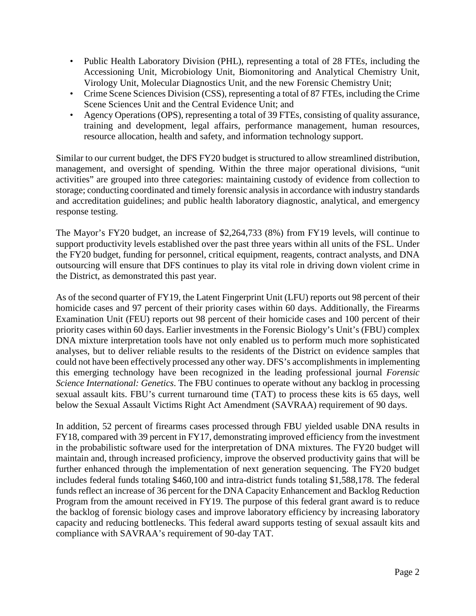- Public Health Laboratory Division (PHL), representing a total of 28 FTEs, including the Accessioning Unit, Microbiology Unit, Biomonitoring and Analytical Chemistry Unit, Virology Unit, Molecular Diagnostics Unit, and the new Forensic Chemistry Unit;
- Crime Scene Sciences Division (CSS), representing a total of 87 FTEs, including the Crime Scene Sciences Unit and the Central Evidence Unit; and
- Agency Operations (OPS), representing a total of 39 FTEs, consisting of quality assurance, training and development, legal affairs, performance management, human resources, resource allocation, health and safety, and information technology support.

Similar to our current budget, the DFS FY20 budget is structured to allow streamlined distribution, management, and oversight of spending. Within the three major operational divisions, "unit activities" are grouped into three categories: maintaining custody of evidence from collection to storage; conducting coordinated and timely forensic analysis in accordance with industry standards and accreditation guidelines; and public health laboratory diagnostic, analytical, and emergency response testing.

The Mayor's FY20 budget, an increase of \$2,264,733 (8%) from FY19 levels, will continue to support productivity levels established over the past three years within all units of the FSL. Under the FY20 budget, funding for personnel, critical equipment, reagents, contract analysts, and DNA outsourcing will ensure that DFS continues to play its vital role in driving down violent crime in the District, as demonstrated this past year.

As of the second quarter of FY19, the Latent Fingerprint Unit (LFU) reports out 98 percent of their homicide cases and 97 percent of their priority cases within 60 days. Additionally, the Firearms Examination Unit (FEU) reports out 98 percent of their homicide cases and 100 percent of their priority cases within 60 days. Earlier investments in the Forensic Biology's Unit's (FBU) complex DNA mixture interpretation tools have not only enabled us to perform much more sophisticated analyses, but to deliver reliable results to the residents of the District on evidence samples that could not have been effectively processed any other way. DFS's accomplishments in implementing this emerging technology have been recognized in the leading professional journal *Forensic Science International: Genetics*. The FBU continues to operate without any backlog in processing sexual assault kits. FBU's current turnaround time (TAT) to process these kits is 65 days, well below the Sexual Assault Victims Right Act Amendment (SAVRAA) requirement of 90 days.

In addition, 52 percent of firearms cases processed through FBU yielded usable DNA results in FY18, compared with 39 percent in FY17, demonstrating improved efficiency from the investment in the probabilistic software used for the interpretation of DNA mixtures. The FY20 budget will maintain and, through increased proficiency, improve the observed productivity gains that will be further enhanced through the implementation of next generation sequencing. The FY20 budget includes federal funds totaling \$460,100 and intra-district funds totaling \$1,588,178. The federal funds reflect an increase of 36 percent for the DNA Capacity Enhancement and Backlog Reduction Program from the amount received in FY19. The purpose of this federal grant award is to reduce the backlog of forensic biology cases and improve laboratory efficiency by increasing laboratory capacity and reducing bottlenecks. This federal award supports testing of sexual assault kits and compliance with SAVRAA's requirement of 90-day TAT.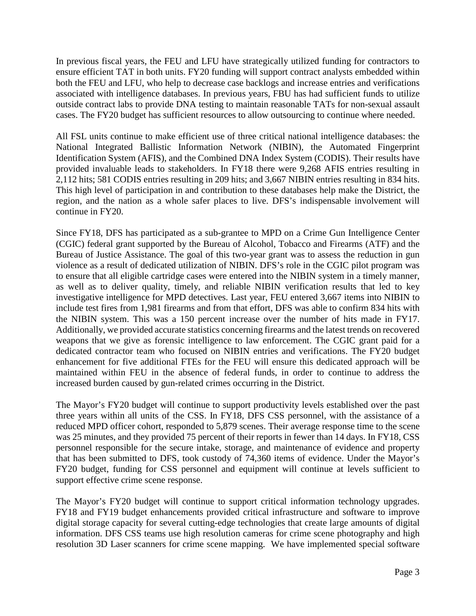In previous fiscal years, the FEU and LFU have strategically utilized funding for contractors to ensure efficient TAT in both units. FY20 funding will support contract analysts embedded within both the FEU and LFU, who help to decrease case backlogs and increase entries and verifications associated with intelligence databases. In previous years, FBU has had sufficient funds to utilize outside contract labs to provide DNA testing to maintain reasonable TATs for non-sexual assault cases. The FY20 budget has sufficient resources to allow outsourcing to continue where needed.

All FSL units continue to make efficient use of three critical national intelligence databases: the National Integrated Ballistic Information Network (NIBIN), the Automated Fingerprint Identification System (AFIS), and the Combined DNA Index System (CODIS). Their results have provided invaluable leads to stakeholders. In FY18 there were 9,268 AFIS entries resulting in 2,112 hits; 581 CODIS entries resulting in 209 hits; and 3,667 NIBIN entries resulting in 834 hits. This high level of participation in and contribution to these databases help make the District, the region, and the nation as a whole safer places to live. DFS's indispensable involvement will continue in FY20.

Since FY18, DFS has participated as a sub-grantee to MPD on a Crime Gun Intelligence Center (CGIC) federal grant supported by the Bureau of Alcohol, Tobacco and Firearms (ATF) and the Bureau of Justice Assistance. The goal of this two-year grant was to assess the reduction in gun violence as a result of dedicated utilization of NIBIN. DFS's role in the CGIC pilot program was to ensure that all eligible cartridge cases were entered into the NIBIN system in a timely manner, as well as to deliver quality, timely, and reliable NIBIN verification results that led to key investigative intelligence for MPD detectives. Last year, FEU entered 3,667 items into NIBIN to include test fires from 1,981 firearms and from that effort, DFS was able to confirm 834 hits with the NIBIN system. This was a 150 percent increase over the number of hits made in FY17. Additionally, we provided accurate statistics concerning firearms and the latest trends on recovered weapons that we give as forensic intelligence to law enforcement. The CGIC grant paid for a dedicated contractor team who focused on NIBIN entries and verifications. The FY20 budget enhancement for five additional FTEs for the FEU will ensure this dedicated approach will be maintained within FEU in the absence of federal funds, in order to continue to address the increased burden caused by gun-related crimes occurring in the District.

The Mayor's FY20 budget will continue to support productivity levels established over the past three years within all units of the CSS. In FY18, DFS CSS personnel, with the assistance of a reduced MPD officer cohort, responded to 5,879 scenes. Their average response time to the scene was 25 minutes, and they provided 75 percent of their reports in fewer than 14 days. In FY18, CSS personnel responsible for the secure intake, storage, and maintenance of evidence and property that has been submitted to DFS, took custody of 74,360 items of evidence. Under the Mayor's FY20 budget, funding for CSS personnel and equipment will continue at levels sufficient to support effective crime scene response.

The Mayor's FY20 budget will continue to support critical information technology upgrades. FY18 and FY19 budget enhancements provided critical infrastructure and software to improve digital storage capacity for several cutting-edge technologies that create large amounts of digital information. DFS CSS teams use high resolution cameras for crime scene photography and high resolution 3D Laser scanners for crime scene mapping. We have implemented special software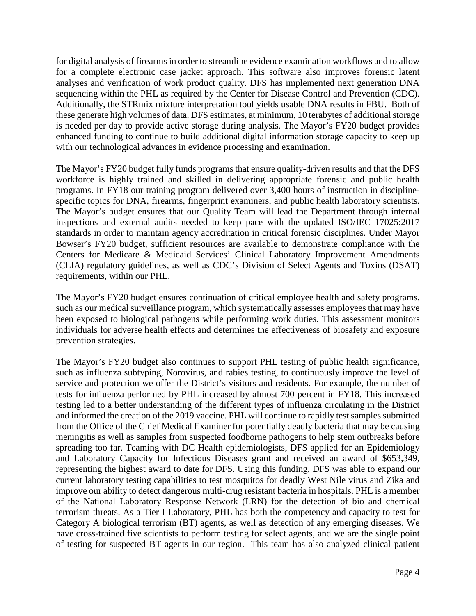for digital analysis of firearms in order to streamline evidence examination workflows and to allow for a complete electronic case jacket approach. This software also improves forensic latent analyses and verification of work product quality. DFS has implemented next generation DNA sequencing within the PHL as required by the Center for Disease Control and Prevention (CDC). Additionally, the STRmix mixture interpretation tool yields usable DNA results in FBU. Both of these generate high volumes of data. DFS estimates, at minimum, 10 terabytes of additional storage is needed per day to provide active storage during analysis. The Mayor's FY20 budget provides enhanced funding to continue to build additional digital information storage capacity to keep up with our technological advances in evidence processing and examination.

The Mayor's FY20 budget fully funds programs that ensure quality-driven results and that the DFS workforce is highly trained and skilled in delivering appropriate forensic and public health programs. In FY18 our training program delivered over 3,400 hours of instruction in disciplinespecific topics for DNA, firearms, fingerprint examiners, and public health laboratory scientists. The Mayor's budget ensures that our Quality Team will lead the Department through internal inspections and external audits needed to keep pace with the updated ISO/IEC 17025:2017 standards in order to maintain agency accreditation in critical forensic disciplines. Under Mayor Bowser's FY20 budget, sufficient resources are available to demonstrate compliance with the Centers for Medicare & Medicaid Services' Clinical Laboratory Improvement Amendments (CLIA) regulatory guidelines, as well as CDC's Division of Select Agents and Toxins (DSAT) requirements, within our PHL.

The Mayor's FY20 budget ensures continuation of critical employee health and safety programs, such as our medical surveillance program, which systematically assesses employees that may have been exposed to biological pathogens while performing work duties. This assessment monitors individuals for adverse health effects and determines the effectiveness of biosafety and exposure prevention strategies.

The Mayor's FY20 budget also continues to support PHL testing of public health significance, such as influenza subtyping, Norovirus, and rabies testing, to continuously improve the level of service and protection we offer the District's visitors and residents. For example, the number of tests for influenza performed by PHL increased by almost 700 percent in FY18. This increased testing led to a better understanding of the different types of influenza circulating in the District and informed the creation of the 2019 vaccine. PHL will continue to rapidly test samples submitted from the Office of the Chief Medical Examiner for potentially deadly bacteria that may be causing meningitis as well as samples from suspected foodborne pathogens to help stem outbreaks before spreading too far. Teaming with DC Health epidemiologists, DFS applied for an Epidemiology and Laboratory Capacity for Infectious Diseases grant and received an award of \$653,349, representing the highest award to date for DFS. Using this funding, DFS was able to expand our current laboratory testing capabilities to test mosquitos for deadly West Nile virus and Zika and improve our ability to detect dangerous multi-drug resistant bacteria in hospitals. PHL is a member of the National Laboratory Response Network (LRN) for the detection of bio and chemical terrorism threats. As a Tier I Laboratory, PHL has both the competency and capacity to test for Category A biological terrorism (BT) agents, as well as detection of any emerging diseases. We have cross-trained five scientists to perform testing for select agents, and we are the single point of testing for suspected BT agents in our region. This team has also analyzed clinical patient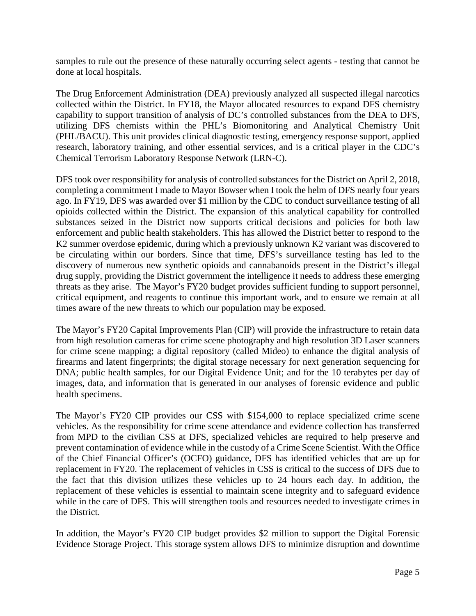samples to rule out the presence of these naturally occurring select agents - testing that cannot be done at local hospitals.

The Drug Enforcement Administration (DEA) previously analyzed all suspected illegal narcotics collected within the District. In FY18, the Mayor allocated resources to expand DFS chemistry capability to support transition of analysis of DC's controlled substances from the DEA to DFS, utilizing DFS chemists within the PHL's Biomonitoring and Analytical Chemistry Unit (PHL/BACU). This unit provides clinical diagnostic testing, emergency response support, applied research, laboratory training, and other essential services, and is a critical player in the CDC's Chemical Terrorism Laboratory Response Network (LRN-C).

DFS took over responsibility for analysis of controlled substances for the District on April 2, 2018, completing a commitment I made to Mayor Bowser when I took the helm of DFS nearly four years ago. In FY19, DFS was awarded over \$1 million by the CDC to conduct surveillance testing of all opioids collected within the District. The expansion of this analytical capability for controlled substances seized in the District now supports critical decisions and policies for both law enforcement and public health stakeholders. This has allowed the District better to respond to the K2 summer overdose epidemic, during which a previously unknown K2 variant was discovered to be circulating within our borders. Since that time, DFS's surveillance testing has led to the discovery of numerous new synthetic opioids and cannabanoids present in the District's illegal drug supply, providing the District government the intelligence it needs to address these emerging threats as they arise. The Mayor's FY20 budget provides sufficient funding to support personnel, critical equipment, and reagents to continue this important work, and to ensure we remain at all times aware of the new threats to which our population may be exposed.

The Mayor's FY20 Capital Improvements Plan (CIP) will provide the infrastructure to retain data from high resolution cameras for crime scene photography and high resolution 3D Laser scanners for crime scene mapping; a digital repository (called Mideo) to enhance the digital analysis of firearms and latent fingerprints; the digital storage necessary for next generation sequencing for DNA; public health samples, for our Digital Evidence Unit; and for the 10 terabytes per day of images, data, and information that is generated in our analyses of forensic evidence and public health specimens.

The Mayor's FY20 CIP provides our CSS with \$154,000 to replace specialized crime scene vehicles. As the responsibility for crime scene attendance and evidence collection has transferred from MPD to the civilian CSS at DFS, specialized vehicles are required to help preserve and prevent contamination of evidence while in the custody of a Crime Scene Scientist. With the Office of the Chief Financial Officer's (OCFO) guidance, DFS has identified vehicles that are up for replacement in FY20. The replacement of vehicles in CSS is critical to the success of DFS due to the fact that this division utilizes these vehicles up to 24 hours each day. In addition, the replacement of these vehicles is essential to maintain scene integrity and to safeguard evidence while in the care of DFS. This will strengthen tools and resources needed to investigate crimes in the District.

In addition, the Mayor's FY20 CIP budget provides \$2 million to support the Digital Forensic Evidence Storage Project. This storage system allows DFS to minimize disruption and downtime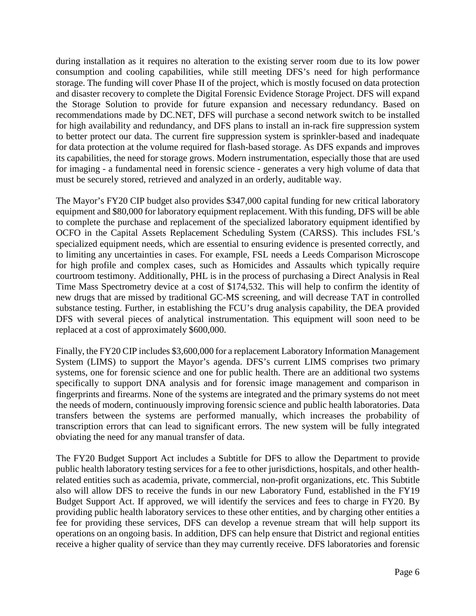during installation as it requires no alteration to the existing server room due to its low power consumption and cooling capabilities, while still meeting DFS's need for high performance storage. The funding will cover Phase II of the project, which is mostly focused on data protection and disaster recovery to complete the Digital Forensic Evidence Storage Project. DFS will expand the Storage Solution to provide for future expansion and necessary redundancy. Based on recommendations made by DC.NET, DFS will purchase a second network switch to be installed for high availability and redundancy, and DFS plans to install an in-rack fire suppression system to better protect our data. The current fire suppression system is sprinkler-based and inadequate for data protection at the volume required for flash-based storage. As DFS expands and improves its capabilities, the need for storage grows. Modern instrumentation, especially those that are used for imaging - a fundamental need in forensic science - generates a very high volume of data that must be securely stored, retrieved and analyzed in an orderly, auditable way.

The Mayor's FY20 CIP budget also provides \$347,000 capital funding for new critical laboratory equipment and \$80,000 for laboratory equipment replacement. With this funding, DFS will be able to complete the purchase and replacement of the specialized laboratory equipment identified by OCFO in the Capital Assets Replacement Scheduling System (CARSS). This includes FSL's specialized equipment needs, which are essential to ensuring evidence is presented correctly, and to limiting any uncertainties in cases. For example, FSL needs a Leeds Comparison Microscope for high profile and complex cases, such as Homicides and Assaults which typically require courtroom testimony. Additionally, PHL is in the process of purchasing a Direct Analysis in Real Time Mass Spectrometry device at a cost of \$174,532. This will help to confirm the identity of new drugs that are missed by traditional GC-MS screening, and will decrease TAT in controlled substance testing. Further, in establishing the FCU's drug analysis capability, the DEA provided DFS with several pieces of analytical instrumentation. This equipment will soon need to be replaced at a cost of approximately \$600,000.

Finally, the FY20 CIP includes \$3,600,000 for a replacement Laboratory Information Management System (LIMS) to support the Mayor's agenda. DFS's current LIMS comprises two primary systems, one for forensic science and one for public health. There are an additional two systems specifically to support DNA analysis and for forensic image management and comparison in fingerprints and firearms. None of the systems are integrated and the primary systems do not meet the needs of modern, continuously improving forensic science and public health laboratories. Data transfers between the systems are performed manually, which increases the probability of transcription errors that can lead to significant errors. The new system will be fully integrated obviating the need for any manual transfer of data.

The FY20 Budget Support Act includes a Subtitle for DFS to allow the Department to provide public health laboratory testing services for a fee to other jurisdictions, hospitals, and other healthrelated entities such as academia, private, commercial, non-profit organizations, etc. This Subtitle also will allow DFS to receive the funds in our new Laboratory Fund, established in the FY19 Budget Support Act. If approved, we will identify the services and fees to charge in FY20. By providing public health laboratory services to these other entities, and by charging other entities a fee for providing these services, DFS can develop a revenue stream that will help support its operations on an ongoing basis. In addition, DFS can help ensure that District and regional entities receive a higher quality of service than they may currently receive. DFS laboratories and forensic